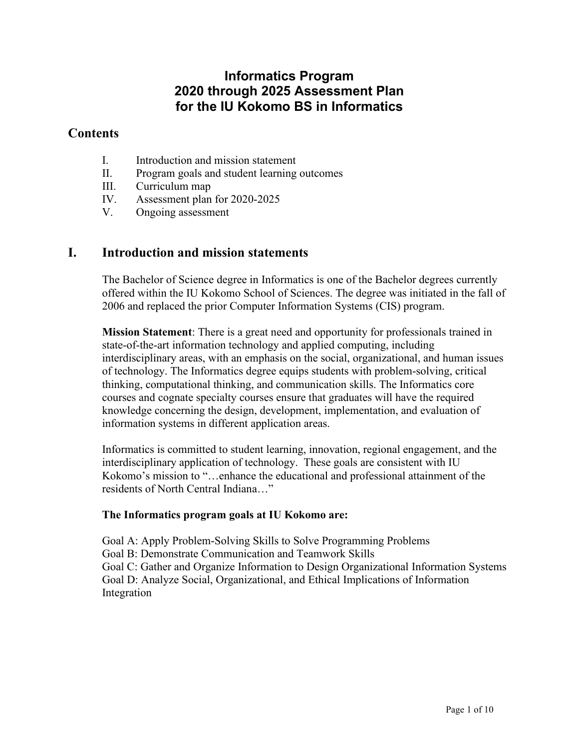# **Informatics Program 2020 through 2025 Assessment Plan for the IU Kokomo BS in Informatics**

## **Contents**

- I. Introduction and mission statement
- II. Program goals and student learning outcomes
- III. Curriculum map
- IV. Assessment plan for 2020-2025
- V. Ongoing assessment

## **I. Introduction and mission statements**

The Bachelor of Science degree in Informatics is one of the Bachelor degrees currently offered within the IU Kokomo School of Sciences. The degree was initiated in the fall of 2006 and replaced the prior Computer Information Systems (CIS) program.

**Mission Statement**: There is a great need and opportunity for professionals trained in state-of-the-art information technology and applied computing, including interdisciplinary areas, with an emphasis on the social, organizational, and human issues of technology. The Informatics degree equips students with problem-solving, critical thinking, computational thinking, and communication skills. The Informatics core courses and cognate specialty courses ensure that graduates will have the required knowledge concerning the design, development, implementation, and evaluation of information systems in different application areas.

Informatics is committed to student learning, innovation, regional engagement, and the interdisciplinary application of technology. These goals are consistent with IU Kokomo's mission to "…enhance the educational and professional attainment of the residents of North Central Indiana…"

## **The Informatics program goals at IU Kokomo are:**

Goal A: Apply Problem-Solving Skills to Solve Programming Problems Goal B: Demonstrate Communication and Teamwork Skills Goal C: Gather and Organize Information to Design Organizational Information Systems Goal D: Analyze Social, Organizational, and Ethical Implications of Information Integration